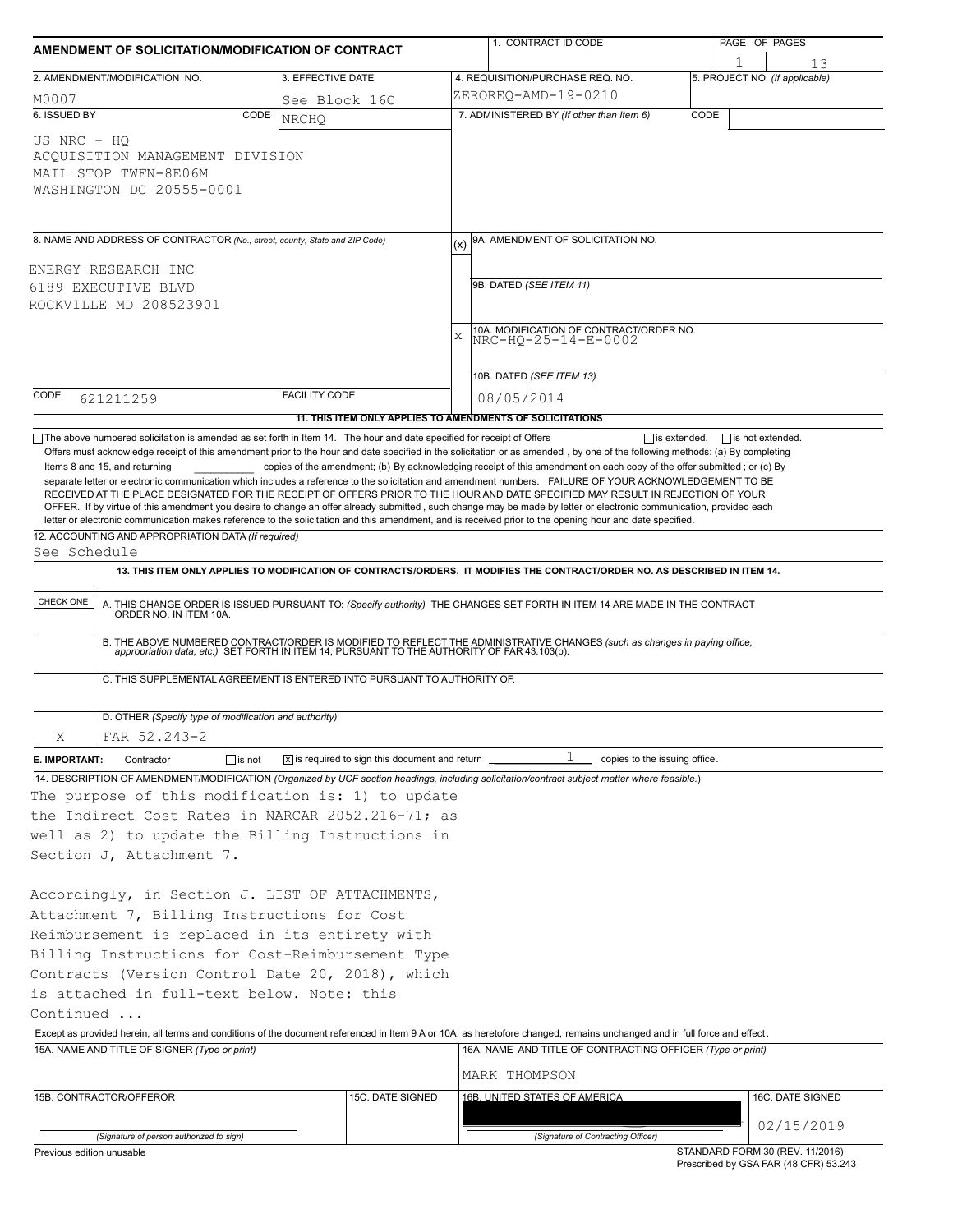| AMENDMENT OF SOLICITATION/MODIFICATION OF CONTRACT                                                                                                                                                                                                                                                                                                                                                                                                                                                                                                                                                                                                                                                                                                                                                                                              |                                                                                                                                                                                                                                                                                                      |                                                                            |           | 1. CONTRACT ID CODE                                                                                                                                                                                                                     |      | PAGE OF PAGES                                                            |  |  |  |  |
|-------------------------------------------------------------------------------------------------------------------------------------------------------------------------------------------------------------------------------------------------------------------------------------------------------------------------------------------------------------------------------------------------------------------------------------------------------------------------------------------------------------------------------------------------------------------------------------------------------------------------------------------------------------------------------------------------------------------------------------------------------------------------------------------------------------------------------------------------|------------------------------------------------------------------------------------------------------------------------------------------------------------------------------------------------------------------------------------------------------------------------------------------------------|----------------------------------------------------------------------------|-----------|-----------------------------------------------------------------------------------------------------------------------------------------------------------------------------------------------------------------------------------------|------|--------------------------------------------------------------------------|--|--|--|--|
|                                                                                                                                                                                                                                                                                                                                                                                                                                                                                                                                                                                                                                                                                                                                                                                                                                                 | 2. AMENDMENT/MODIFICATION NO.                                                                                                                                                                                                                                                                        | 3. EFFECTIVE DATE                                                          |           | 4. REQUISITION/PURCHASE REQ. NO.                                                                                                                                                                                                        | 1    | 13<br>5. PROJECT NO. (If applicable)                                     |  |  |  |  |
| M0007                                                                                                                                                                                                                                                                                                                                                                                                                                                                                                                                                                                                                                                                                                                                                                                                                                           |                                                                                                                                                                                                                                                                                                      | See Block 16C                                                              |           | ZEROREQ-AMD-19-0210                                                                                                                                                                                                                     |      |                                                                          |  |  |  |  |
| 6. ISSUED BY                                                                                                                                                                                                                                                                                                                                                                                                                                                                                                                                                                                                                                                                                                                                                                                                                                    | CODE                                                                                                                                                                                                                                                                                                 | <b>NRCHO</b>                                                               |           | 7. ADMINISTERED BY (If other than Item 6)                                                                                                                                                                                               | CODE |                                                                          |  |  |  |  |
| US NRC - HO                                                                                                                                                                                                                                                                                                                                                                                                                                                                                                                                                                                                                                                                                                                                                                                                                                     | ACQUISITION MANAGEMENT DIVISION<br>MAIL STOP TWFN-8E06M<br>WASHINGTON DC 20555-0001                                                                                                                                                                                                                  |                                                                            |           |                                                                                                                                                                                                                                         |      |                                                                          |  |  |  |  |
|                                                                                                                                                                                                                                                                                                                                                                                                                                                                                                                                                                                                                                                                                                                                                                                                                                                 | 8. NAME AND ADDRESS OF CONTRACTOR (No., street, county, State and ZIP Code)                                                                                                                                                                                                                          |                                                                            |           | 9A. AMENDMENT OF SOLICITATION NO.                                                                                                                                                                                                       |      |                                                                          |  |  |  |  |
|                                                                                                                                                                                                                                                                                                                                                                                                                                                                                                                                                                                                                                                                                                                                                                                                                                                 | ENERGY RESEARCH INC                                                                                                                                                                                                                                                                                  |                                                                            |           |                                                                                                                                                                                                                                         |      |                                                                          |  |  |  |  |
| 6189 EXECUTIVE BLVD                                                                                                                                                                                                                                                                                                                                                                                                                                                                                                                                                                                                                                                                                                                                                                                                                             |                                                                                                                                                                                                                                                                                                      |                                                                            |           | 9B. DATED (SEE ITEM 11)                                                                                                                                                                                                                 |      |                                                                          |  |  |  |  |
| ROCKVILLE MD 208523901                                                                                                                                                                                                                                                                                                                                                                                                                                                                                                                                                                                                                                                                                                                                                                                                                          |                                                                                                                                                                                                                                                                                                      |                                                                            |           |                                                                                                                                                                                                                                         |      |                                                                          |  |  |  |  |
|                                                                                                                                                                                                                                                                                                                                                                                                                                                                                                                                                                                                                                                                                                                                                                                                                                                 |                                                                                                                                                                                                                                                                                                      |                                                                            | $\bar{x}$ | 10A. MODIFICATION OF CONTRACT/ORDER NO.                                                                                                                                                                                                 |      |                                                                          |  |  |  |  |
|                                                                                                                                                                                                                                                                                                                                                                                                                                                                                                                                                                                                                                                                                                                                                                                                                                                 |                                                                                                                                                                                                                                                                                                      |                                                                            |           | NRC-HQ-25-14-E-0002                                                                                                                                                                                                                     |      |                                                                          |  |  |  |  |
|                                                                                                                                                                                                                                                                                                                                                                                                                                                                                                                                                                                                                                                                                                                                                                                                                                                 |                                                                                                                                                                                                                                                                                                      |                                                                            |           | 10B. DATED (SEE ITEM 13)                                                                                                                                                                                                                |      |                                                                          |  |  |  |  |
| CODE                                                                                                                                                                                                                                                                                                                                                                                                                                                                                                                                                                                                                                                                                                                                                                                                                                            | 621211259                                                                                                                                                                                                                                                                                            | <b>FACILITY CODE</b>                                                       |           | 08/05/2014                                                                                                                                                                                                                              |      |                                                                          |  |  |  |  |
|                                                                                                                                                                                                                                                                                                                                                                                                                                                                                                                                                                                                                                                                                                                                                                                                                                                 |                                                                                                                                                                                                                                                                                                      | 11. THIS ITEM ONLY APPLIES TO AMENDMENTS OF SOLICITATIONS                  |           |                                                                                                                                                                                                                                         |      |                                                                          |  |  |  |  |
| copies of the amendment; (b) By acknowledging receipt of this amendment on each copy of the offer submitted; or (c) By<br>Items 8 and 15, and returning<br>separate letter or electronic communication which includes a reference to the solicitation and amendment numbers. FAILURE OF YOUR ACKNOWLEDGEMENT TO BE<br>RECEIVED AT THE PLACE DESIGNATED FOR THE RECEIPT OF OFFERS PRIOR TO THE HOUR AND DATE SPECIFIED MAY RESULT IN REJECTION OF YOUR<br>OFFER. If by virtue of this amendment you desire to change an offer already submitted, such change may be made by letter or electronic communication, provided each<br>letter or electronic communication makes reference to the solicitation and this amendment, and is received prior to the opening hour and date specified.<br>12. ACCOUNTING AND APPROPRIATION DATA (If required) |                                                                                                                                                                                                                                                                                                      |                                                                            |           |                                                                                                                                                                                                                                         |      |                                                                          |  |  |  |  |
| See Schedule                                                                                                                                                                                                                                                                                                                                                                                                                                                                                                                                                                                                                                                                                                                                                                                                                                    |                                                                                                                                                                                                                                                                                                      |                                                                            |           |                                                                                                                                                                                                                                         |      |                                                                          |  |  |  |  |
|                                                                                                                                                                                                                                                                                                                                                                                                                                                                                                                                                                                                                                                                                                                                                                                                                                                 |                                                                                                                                                                                                                                                                                                      |                                                                            |           | 13. THIS ITEM ONLY APPLIES TO MODIFICATION OF CONTRACTS/ORDERS. IT MODIFIES THE CONTRACT/ORDER NO. AS DESCRIBED IN ITEM 14.                                                                                                             |      |                                                                          |  |  |  |  |
| CHECK ONE                                                                                                                                                                                                                                                                                                                                                                                                                                                                                                                                                                                                                                                                                                                                                                                                                                       |                                                                                                                                                                                                                                                                                                      |                                                                            |           | A. THIS CHANGE ORDER IS ISSUED PURSUANT TO: (Specify authority) THE CHANGES SET FORTH IN ITEM 14 ARE MADE IN THE CONTRACT ORDER NO. IN ITEM 10A.                                                                                        |      |                                                                          |  |  |  |  |
|                                                                                                                                                                                                                                                                                                                                                                                                                                                                                                                                                                                                                                                                                                                                                                                                                                                 | B. THE ABOVE NUMBERED CONTRACT/ORDER IS MODIFIED TO REFLECT THE ADMINISTRATIVE CHANGES (such as changes in paying office,<br>appropriation data, etc.) SET FORTH IN ITEM 14, PURSUANT TO THE AUTHORITY OF FAR 43.103(b).<br>C. THIS SUPPLEMENTAL AGREEMENT IS ENTERED INTO PURSUANT TO AUTHORITY OF: |                                                                            |           |                                                                                                                                                                                                                                         |      |                                                                          |  |  |  |  |
|                                                                                                                                                                                                                                                                                                                                                                                                                                                                                                                                                                                                                                                                                                                                                                                                                                                 |                                                                                                                                                                                                                                                                                                      |                                                                            |           |                                                                                                                                                                                                                                         |      |                                                                          |  |  |  |  |
| Χ                                                                                                                                                                                                                                                                                                                                                                                                                                                                                                                                                                                                                                                                                                                                                                                                                                               | D. OTHER (Specify type of modification and authority)<br>FAR 52.243-2                                                                                                                                                                                                                                |                                                                            |           |                                                                                                                                                                                                                                         |      |                                                                          |  |  |  |  |
| E. IMPORTANT:                                                                                                                                                                                                                                                                                                                                                                                                                                                                                                                                                                                                                                                                                                                                                                                                                                   | $\Box$ is not<br>Contractor                                                                                                                                                                                                                                                                          | $\overline{x}$ is required to sign this document and return $\overline{a}$ |           | 1<br>copies to the issuing office.                                                                                                                                                                                                      |      |                                                                          |  |  |  |  |
|                                                                                                                                                                                                                                                                                                                                                                                                                                                                                                                                                                                                                                                                                                                                                                                                                                                 | The purpose of this modification is: 1) to update                                                                                                                                                                                                                                                    |                                                                            |           | 14. DESCRIPTION OF AMENDMENT/MODIFICATION (Organized by UCF section headings, including solicitation/contract subject matter where feasible.)                                                                                           |      |                                                                          |  |  |  |  |
|                                                                                                                                                                                                                                                                                                                                                                                                                                                                                                                                                                                                                                                                                                                                                                                                                                                 | the Indirect Cost Rates in NARCAR 2052.216-71; as                                                                                                                                                                                                                                                    |                                                                            |           |                                                                                                                                                                                                                                         |      |                                                                          |  |  |  |  |
|                                                                                                                                                                                                                                                                                                                                                                                                                                                                                                                                                                                                                                                                                                                                                                                                                                                 | well as 2) to update the Billing Instructions in                                                                                                                                                                                                                                                     |                                                                            |           |                                                                                                                                                                                                                                         |      |                                                                          |  |  |  |  |
|                                                                                                                                                                                                                                                                                                                                                                                                                                                                                                                                                                                                                                                                                                                                                                                                                                                 | Section J, Attachment 7.                                                                                                                                                                                                                                                                             |                                                                            |           |                                                                                                                                                                                                                                         |      |                                                                          |  |  |  |  |
|                                                                                                                                                                                                                                                                                                                                                                                                                                                                                                                                                                                                                                                                                                                                                                                                                                                 | Accordingly, in Section J. LIST OF ATTACHMENTS,<br>Attachment 7, Billing Instructions for Cost                                                                                                                                                                                                       |                                                                            |           |                                                                                                                                                                                                                                         |      |                                                                          |  |  |  |  |
|                                                                                                                                                                                                                                                                                                                                                                                                                                                                                                                                                                                                                                                                                                                                                                                                                                                 | Reimbursement is replaced in its entirety with                                                                                                                                                                                                                                                       |                                                                            |           |                                                                                                                                                                                                                                         |      |                                                                          |  |  |  |  |
| Billing Instructions for Cost-Reimbursement Type                                                                                                                                                                                                                                                                                                                                                                                                                                                                                                                                                                                                                                                                                                                                                                                                |                                                                                                                                                                                                                                                                                                      |                                                                            |           |                                                                                                                                                                                                                                         |      |                                                                          |  |  |  |  |
|                                                                                                                                                                                                                                                                                                                                                                                                                                                                                                                                                                                                                                                                                                                                                                                                                                                 | Contracts (Version Control Date 20, 2018), which                                                                                                                                                                                                                                                     |                                                                            |           |                                                                                                                                                                                                                                         |      |                                                                          |  |  |  |  |
|                                                                                                                                                                                                                                                                                                                                                                                                                                                                                                                                                                                                                                                                                                                                                                                                                                                 | is attached in full-text below. Note: this                                                                                                                                                                                                                                                           |                                                                            |           |                                                                                                                                                                                                                                         |      |                                                                          |  |  |  |  |
| Continued                                                                                                                                                                                                                                                                                                                                                                                                                                                                                                                                                                                                                                                                                                                                                                                                                                       |                                                                                                                                                                                                                                                                                                      |                                                                            |           |                                                                                                                                                                                                                                         |      |                                                                          |  |  |  |  |
|                                                                                                                                                                                                                                                                                                                                                                                                                                                                                                                                                                                                                                                                                                                                                                                                                                                 | 15A. NAME AND TITLE OF SIGNER (Type or print)                                                                                                                                                                                                                                                        |                                                                            |           | Except as provided herein, all terms and conditions of the document referenced in Item 9 A or 10A, as heretofore changed, remains unchanged and in full force and effect.<br>16A. NAME AND TITLE OF CONTRACTING OFFICER (Type or print) |      |                                                                          |  |  |  |  |
|                                                                                                                                                                                                                                                                                                                                                                                                                                                                                                                                                                                                                                                                                                                                                                                                                                                 |                                                                                                                                                                                                                                                                                                      |                                                                            |           | MARK THOMPSON                                                                                                                                                                                                                           |      |                                                                          |  |  |  |  |
|                                                                                                                                                                                                                                                                                                                                                                                                                                                                                                                                                                                                                                                                                                                                                                                                                                                 | 15B. CONTRACTOR/OFFEROR                                                                                                                                                                                                                                                                              | 15C. DATE SIGNED                                                           |           | 16B. UNITED STATES OF AMERICA                                                                                                                                                                                                           |      | 16C. DATE SIGNED                                                         |  |  |  |  |
|                                                                                                                                                                                                                                                                                                                                                                                                                                                                                                                                                                                                                                                                                                                                                                                                                                                 |                                                                                                                                                                                                                                                                                                      |                                                                            |           |                                                                                                                                                                                                                                         |      |                                                                          |  |  |  |  |
|                                                                                                                                                                                                                                                                                                                                                                                                                                                                                                                                                                                                                                                                                                                                                                                                                                                 | (Signature of person authorized to sign)                                                                                                                                                                                                                                                             |                                                                            |           | (Signature of Contracting Officer)                                                                                                                                                                                                      |      | 02/15/2019                                                               |  |  |  |  |
| Previous edition unusable                                                                                                                                                                                                                                                                                                                                                                                                                                                                                                                                                                                                                                                                                                                                                                                                                       |                                                                                                                                                                                                                                                                                                      |                                                                            |           |                                                                                                                                                                                                                                         |      | STANDARD FORM 30 (REV. 11/2016)<br>Prescribed by GSA FAR (48 CFR) 53.243 |  |  |  |  |